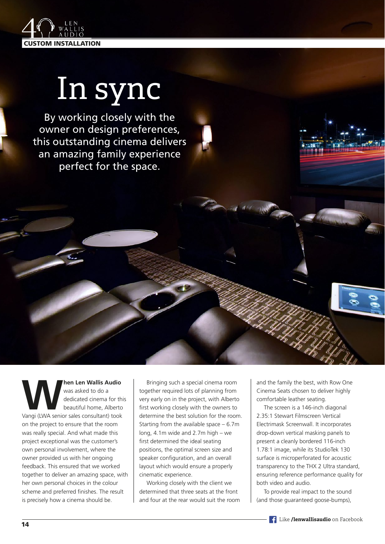

## In sync

By working closely with the owner on design preferences, this outstanding cinema delivers an amazing family experience perfect for the space.

**When Len Wallis Audio**<br>
Was asked to do a<br>
dedicated cinema for this<br>
beautiful home, Alberto<br>
Vangi (LWA senior sales consultant) took was asked to do a dedicated cinema for this beautiful home, Alberto on the project to ensure that the room was really special. And what made this project exceptional was the customer's own personal involvement, where the owner provided us with her ongoing feedback. This ensured that we worked together to deliver an amazing space, with her own personal choices in the colour scheme and preferred finishes. The result is precisely how a cinema should be.

Bringing such a special cinema room together required lots of planning from very early on in the project, with Alberto first working closely with the owners to determine the best solution for the room. Starting from the available space – 6.7m long, 4.1m wide and 2.7m high – we first determined the ideal seating positions, the optimal screen size and speaker configuration, and an overall layout which would ensure a properly cinematic experience.

Working closely with the client we determined that three seats at the front and four at the rear would suit the room and the family the best, with Row One Cinema Seats chosen to deliver highly comfortable leather seating.

The screen is a 146-inch diagonal 2.35:1 Stewart Filmscreen Vertical Electrimask Screenwall. It incorporates drop-down vertical masking panels to present a cleanly bordered 116-inch 1.78:1 image, while its StudioTek 130 surface is microperforated for acoustic transparency to the THX 2 Ultra standard, ensuring reference performance quality for both video and audio.

To provide real impact to the sound (and those guaranteed goose-bumps),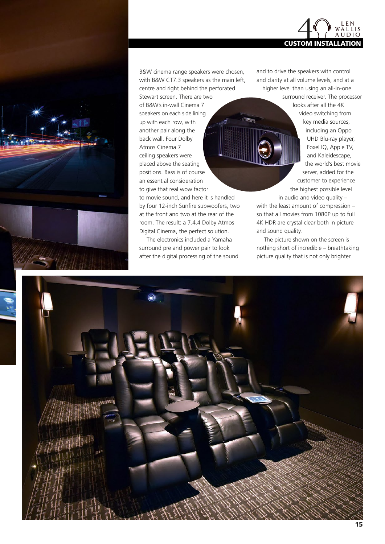

B&W cinema range speakers were chosen, with B&W CT7.3 speakers as the main left, centre and right behind the perforated

Stewart screen. There are two of B&W's in-wall Cinema 7 speakers on each side lining up with each row, with another pair along the back wall. Four Dolby Atmos Cinema 7 ceiling speakers were placed above the seating positions. Bass is of course an essential consideration to give that real wow factor

to movie sound, and here it is handled by four 12-inch Sunfire subwoofers, two at the front and two at the rear of the room. The result: a 7.4.4 Dolby Atmos Digital Cinema, the perfect solution.

The electronics included a Yamaha surround pre and power pair to look after the digital processing of the sound and to drive the speakers with control and clarity at all volume levels, and at a higher level than using an all-in-one

> surround receiver. The processor looks after all the 4K video switching from key media sources, including an Oppo UHD Blu-ray player, Foxel IQ, Apple TV, and Kaleidescape, the world's best movie server, added for the customer to experience the highest possible level in audio and video quality –

with the least amount of compression – so that all movies from 1080P up to full 4K HDR are crystal clear both in picture and sound quality.

The picture shown on the screen is nothing short of incredible – breathtaking picture quality that is not only brighter